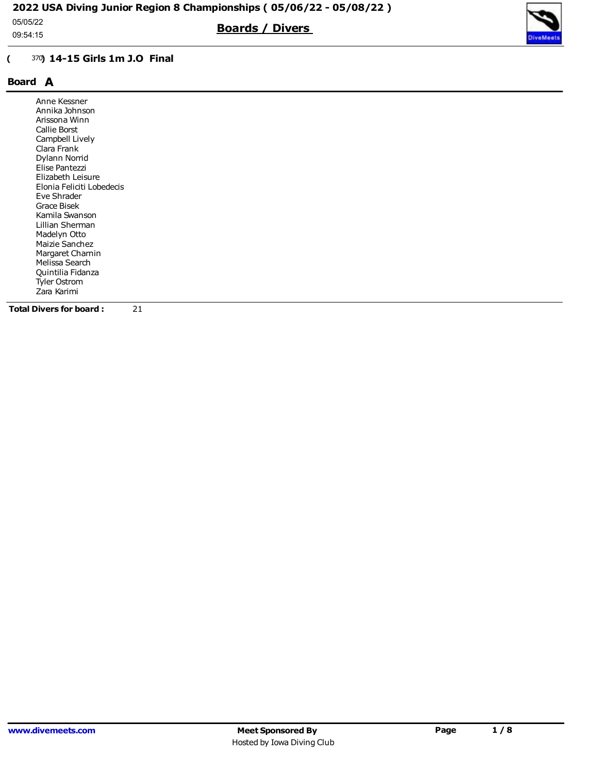09:54:15

## ( <sup>370</sup>) 14-15 Girls 1m J.O Final

# Board A

| Anne Kessner              |
|---------------------------|
| Annika Johnson            |
| Arissona Winn             |
| Callie Borst              |
| Campbell Lively           |
| Clara Frank               |
| Dylann Norrid             |
| Elise Pantezzi            |
| Elizabeth Leisure         |
| Elonia Feliciti Lobedecis |
| Eve Shrader               |
| Grace Bisek               |
| Kamila Swanson            |
| Lillian Sherman           |
| Madelyn Otto              |
| Maizie Sanchez            |
| Margaret Charnin          |
| Melissa Search            |
| Quintilia Fidanza         |
| Tyler Ostrom              |
| Zara Karimi               |
|                           |

Boards / Divers

Total Divers for board : 21

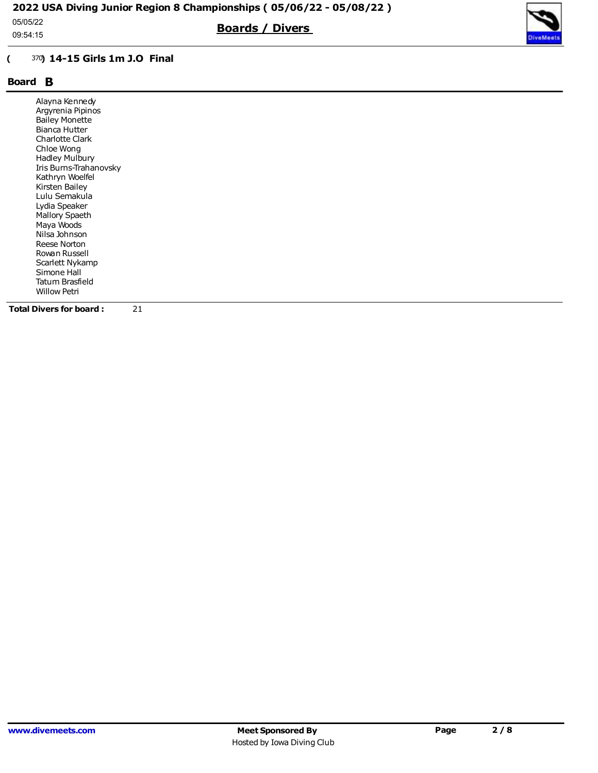09:54:15

## ( <sup>370</sup>) 14-15 Girls 1m J.O Final

# Board B

| Alayna Kennedy<br>Argyrenia Pipinos<br><b>Bailey Monette</b><br>Bianca Hutter<br><b>Charlotte Clark</b><br>Chloe Wong<br>Hadley Mulbury<br>Iris Burns-Trahanovsky<br>Kathryn Woelfel<br>Kirsten Bailey<br>Lulu Semakula<br>Lydia Speaker<br>Mallory Spaeth<br>Maya Woods<br>Nilsa Johnson<br>Reese Norton<br>Rowan Russell<br>Scarlett Nykamp<br>Simone Hall<br>Tatum Brasfield<br><b>Willow Petri</b> |
|--------------------------------------------------------------------------------------------------------------------------------------------------------------------------------------------------------------------------------------------------------------------------------------------------------------------------------------------------------------------------------------------------------|
|--------------------------------------------------------------------------------------------------------------------------------------------------------------------------------------------------------------------------------------------------------------------------------------------------------------------------------------------------------------------------------------------------------|

Boards / Divers

Total Divers for board : 21

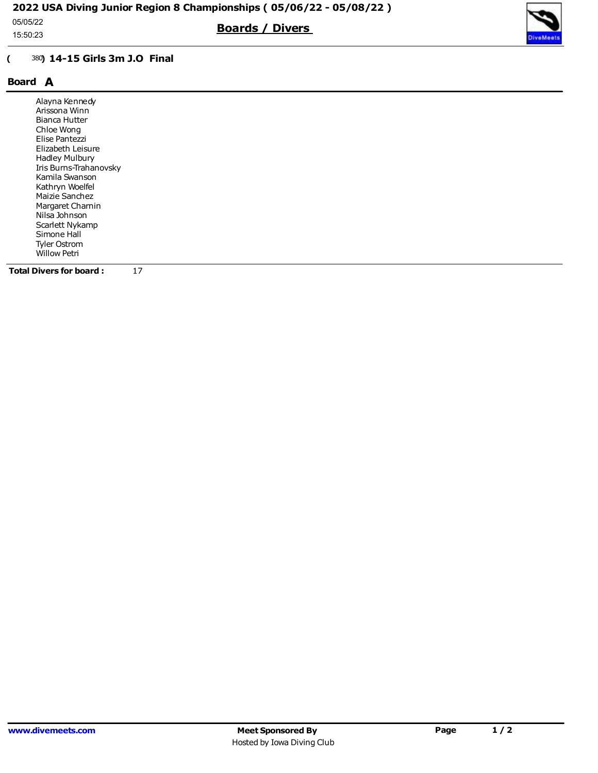15:50:23

Boards / Divers



# ( <sup>380</sup>) 14-15 Girls 3m J.O Final

## Board A

| Alayna Kennedy                 |  |  |  |
|--------------------------------|--|--|--|
| Arissona Winn                  |  |  |  |
| Bianca Hutter                  |  |  |  |
| Chloe Wong                     |  |  |  |
| Elise Pantezzi                 |  |  |  |
| Elizabeth Leisure              |  |  |  |
| Hadley Mulbury                 |  |  |  |
| Iris Burns-Trahanovsky         |  |  |  |
| Kamila Swanson                 |  |  |  |
| Kathryn Woelfel                |  |  |  |
| Maizie Sanchez                 |  |  |  |
| Margaret Charnin               |  |  |  |
| Nilsa Johnson                  |  |  |  |
| Scarlett Nykamp                |  |  |  |
| Simone Hall                    |  |  |  |
| Tyler Ostrom                   |  |  |  |
| <b>Willow Petri</b>            |  |  |  |
|                                |  |  |  |
| 17<br>Total Divers for board : |  |  |  |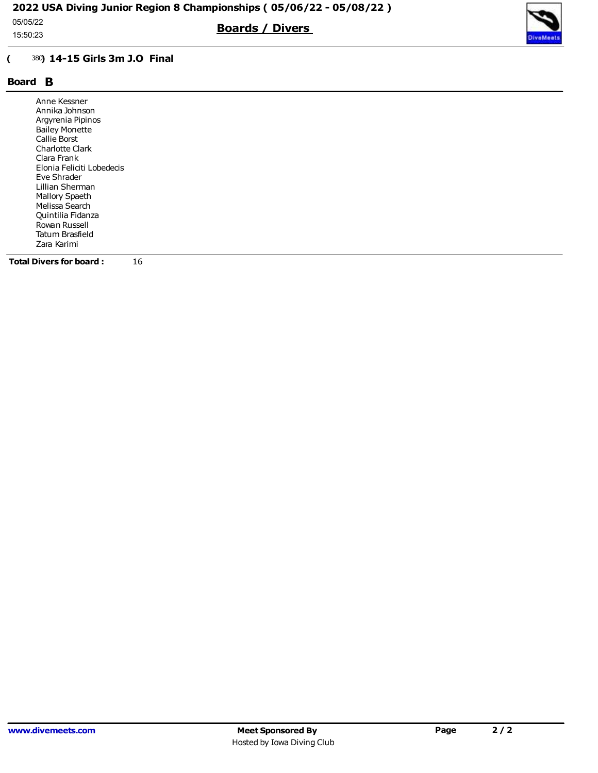15:50:23

Boards / Divers



## ( <sup>380</sup>) 14-15 Girls 3m J.O Final

## Board B

| Anne Kessner<br>Annika Johnson<br>Argyrenia Pipinos<br><b>Bailey Monette</b><br>Callie Borst<br><b>Charlotte Clark</b><br>Clara Frank<br>Elonia Feliciti Lobedecis<br>Eve Shrader<br>Lillian Sherman<br>Mallory Spaeth<br>Melissa Search<br>Quintilia Fidanza<br>Rowan Russell |
|--------------------------------------------------------------------------------------------------------------------------------------------------------------------------------------------------------------------------------------------------------------------------------|
|                                                                                                                                                                                                                                                                                |
| Tatum Brasfield                                                                                                                                                                                                                                                                |
| Zara Karimi                                                                                                                                                                                                                                                                    |

Total Divers for board : 16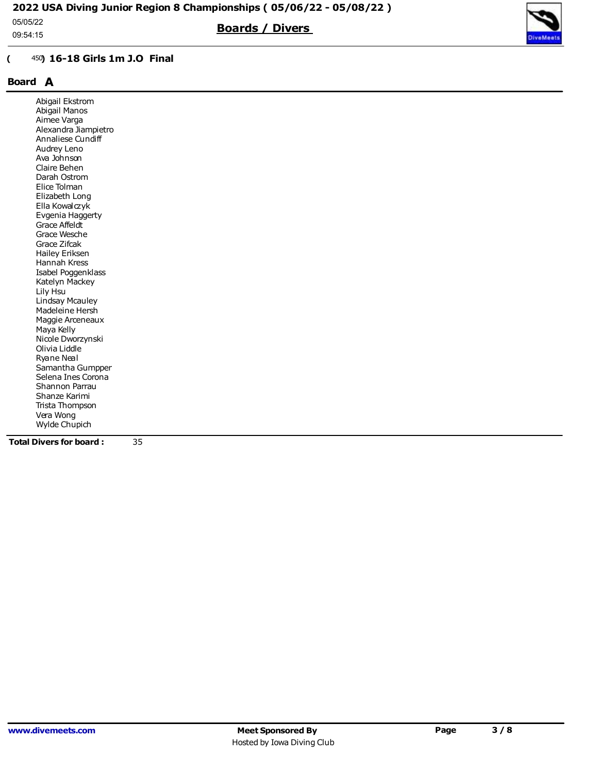05/05/22

09:54:15

#### ( <sup>450</sup>) 16-18 Girls 1m J.O Final

# Board A

| Abigail Ekstrom                |    |  |  |  |
|--------------------------------|----|--|--|--|
| Abigail Manos                  |    |  |  |  |
| Aimee Varga                    |    |  |  |  |
| Alexandra Jiampietro           |    |  |  |  |
| Annaliese Cundiff              |    |  |  |  |
| Audrey Leno                    |    |  |  |  |
| Ava Johnson                    |    |  |  |  |
| Claire Behen                   |    |  |  |  |
| Darah Ostrom                   |    |  |  |  |
| Elice Tolman                   |    |  |  |  |
| Elizabeth Long                 |    |  |  |  |
| Ella Kowalczyk                 |    |  |  |  |
| Evgenia Haggerty               |    |  |  |  |
| Grace Affeldt                  |    |  |  |  |
| Grace Wesche                   |    |  |  |  |
| Grace Zifcak                   |    |  |  |  |
| Hailey Eriksen                 |    |  |  |  |
| Hannah Kress                   |    |  |  |  |
| Isabel Poggenklass             |    |  |  |  |
| Katelyn Mackey                 |    |  |  |  |
| Lily Hsu                       |    |  |  |  |
| Lindsay Mcauley                |    |  |  |  |
| Madeleine Hersh                |    |  |  |  |
| Maggie Arceneaux               |    |  |  |  |
| Maya Kelly                     |    |  |  |  |
| Nicole Dworzynski              |    |  |  |  |
| Olivia Liddle                  |    |  |  |  |
| Ryane Neal                     |    |  |  |  |
| Samantha Gumpper               |    |  |  |  |
| Selena Ines Corona             |    |  |  |  |
| Shannon Parrau                 |    |  |  |  |
| Shanze Karimi                  |    |  |  |  |
| Trista Thompson                |    |  |  |  |
| Vera Wong                      |    |  |  |  |
| Wylde Chupich                  |    |  |  |  |
| <b>Total Divers for board:</b> | 35 |  |  |  |

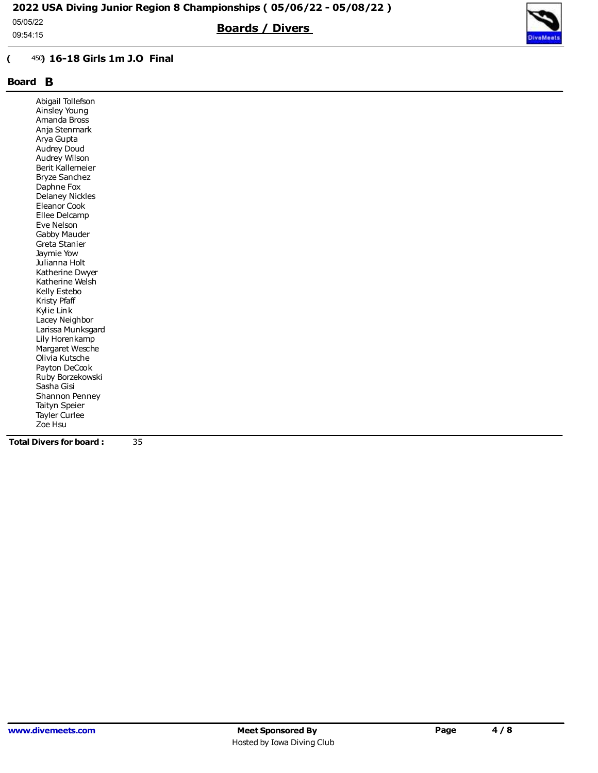05/05/22

09:54:15

# ( <sup>450</sup>) 16-18 Girls 1m J.O Final

# Board B

| <b>Total Divers for board:</b> | 35 |  |  |  |
|--------------------------------|----|--|--|--|
| Zoe Hsu                        |    |  |  |  |
| Tayler Curlee                  |    |  |  |  |
| Taityn Speier                  |    |  |  |  |
| Shannon Penney                 |    |  |  |  |
| Sasha Gisi                     |    |  |  |  |
| Ruby Borzekowski               |    |  |  |  |
| Payton DeCook                  |    |  |  |  |
| Olivia Kutsche                 |    |  |  |  |
| Margaret Wesche                |    |  |  |  |
| Lily Horenkamp                 |    |  |  |  |
| Larissa Munksgard              |    |  |  |  |
| Lacey Neighbor                 |    |  |  |  |
| Kylie Link                     |    |  |  |  |
| Kristy Pfaff                   |    |  |  |  |
| Kelly Estebo                   |    |  |  |  |
| Katherine Welsh                |    |  |  |  |
| Katherine Dwyer                |    |  |  |  |
| Julianna Holt                  |    |  |  |  |
| Jaymie Yow                     |    |  |  |  |
| Greta Stanier                  |    |  |  |  |
| Gabby Mauder                   |    |  |  |  |
| Eve Nelson                     |    |  |  |  |
| Ellee Delcamp                  |    |  |  |  |
| Eleanor Cook                   |    |  |  |  |
| <b>Delaney Nickles</b>         |    |  |  |  |
| Daphne Fox                     |    |  |  |  |
| <b>Bryze Sanchez</b>           |    |  |  |  |
| Berit Kallemeier               |    |  |  |  |
| Audrey Wilson                  |    |  |  |  |
| Audrey Doud                    |    |  |  |  |
| Arya Gupta                     |    |  |  |  |
| Anja Stenmark                  |    |  |  |  |
| Amanda Bross                   |    |  |  |  |
| Ainsley Young                  |    |  |  |  |
| Abigail Tollefson              |    |  |  |  |

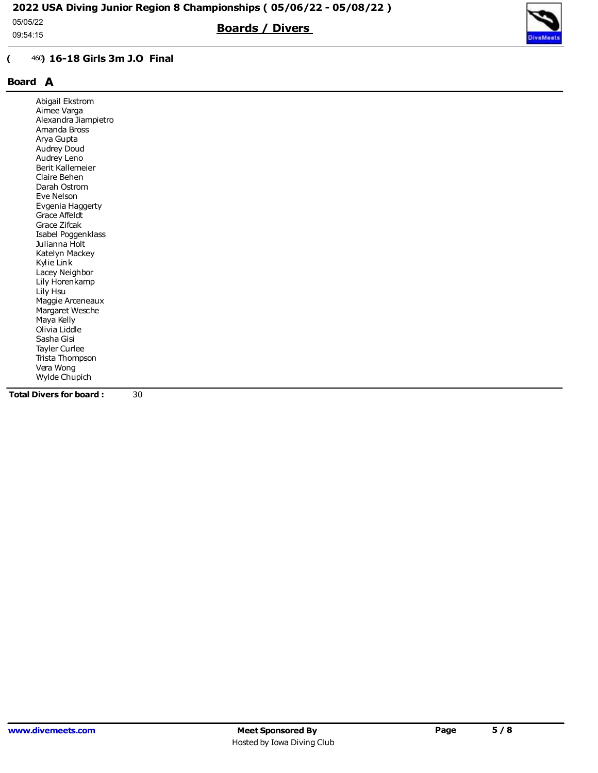05/05/22

09:54:15

## ( <sup>460</sup>) 16-18 Girls 3m J.O Final

# Board A

| Abigail Ekstrom                |                      |    |  |  |  |
|--------------------------------|----------------------|----|--|--|--|
| Aimee Varga                    |                      |    |  |  |  |
|                                | Alexandra Jiampietro |    |  |  |  |
| Amanda Bross                   |                      |    |  |  |  |
| Arya Gupta                     |                      |    |  |  |  |
| Audrey Doud                    |                      |    |  |  |  |
| Audrey Leno                    |                      |    |  |  |  |
| Berit Kallemeier               |                      |    |  |  |  |
| Claire Behen                   |                      |    |  |  |  |
| Darah Ostrom                   |                      |    |  |  |  |
| Eve Nelson                     |                      |    |  |  |  |
|                                | Evgenia Haggerty     |    |  |  |  |
| Grace Affeldt                  |                      |    |  |  |  |
| Grace Zifcak                   |                      |    |  |  |  |
|                                | Isabel Poggenklass   |    |  |  |  |
| Julianna Holt                  |                      |    |  |  |  |
| Katelyn Mackey                 |                      |    |  |  |  |
| Kylie Link                     |                      |    |  |  |  |
| Lacey Neighbor                 |                      |    |  |  |  |
| Lily Horenkamp                 |                      |    |  |  |  |
| Lily Hsu                       |                      |    |  |  |  |
|                                | Maggie Arceneaux     |    |  |  |  |
|                                | Margaret Wesche      |    |  |  |  |
| Maya Kelly                     |                      |    |  |  |  |
| Olivia Liddle                  |                      |    |  |  |  |
| Sasha Gisi                     |                      |    |  |  |  |
| Tayler Curlee                  |                      |    |  |  |  |
|                                | Trista Thompson      |    |  |  |  |
| Vera Wong                      |                      |    |  |  |  |
| Wylde Chupich                  |                      |    |  |  |  |
| <b>Total Divers for board:</b> |                      | 30 |  |  |  |